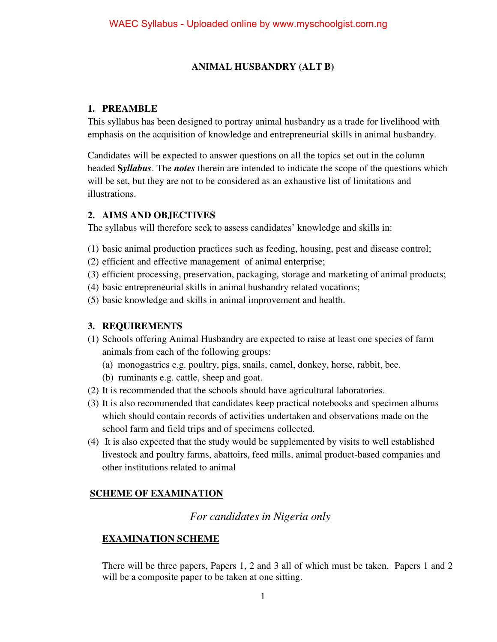### **ANIMAL HUSBANDRY (ALT B)**

#### **1. PREAMBLE**

This syllabus has been designed to portray animal husbandry as a trade for livelihood with emphasis on the acquisition of knowledge and entrepreneurial skills in animal husbandry.

Candidates will be expected to answer questions on all the topics set out in the column headed **S***yllabus*. The *notes* therein are intended to indicate the scope of the questions which will be set, but they are not to be considered as an exhaustive list of limitations and illustrations.

#### **2. AIMS AND OBJECTIVES**

The syllabus will therefore seek to assess candidates' knowledge and skills in:

- (1) basic animal production practices such as feeding, housing, pest and disease control;
- (2) efficient and effective management of animal enterprise;
- (3) efficient processing, preservation, packaging, storage and marketing of animal products;
- (4) basic entrepreneurial skills in animal husbandry related vocations;
- (5) basic knowledge and skills in animal improvement and health.

#### **3. REQUIREMENTS**

- (1) Schools offering Animal Husbandry are expected to raise at least one species of farm animals from each of the following groups:
	- (a) monogastrics e.g. poultry, pigs, snails, camel, donkey, horse, rabbit, bee.
	- (b) ruminants e.g. cattle, sheep and goat.
- (2) It is recommended that the schools should have agricultural laboratories.
- (3) It is also recommended that candidates keep practical notebooks and specimen albums which should contain records of activities undertaken and observations made on the school farm and field trips and of specimens collected.
- (4) It is also expected that the study would be supplemented by visits to well established livestock and poultry farms, abattoirs, feed mills, animal product-based companies and other institutions related to animal

### **SCHEME OF EXAMINATION**

## *For candidates in Nigeria only*

### **EXAMINATION SCHEME**

There will be three papers, Papers 1, 2 and 3 all of which must be taken. Papers 1 and 2 will be a composite paper to be taken at one sitting.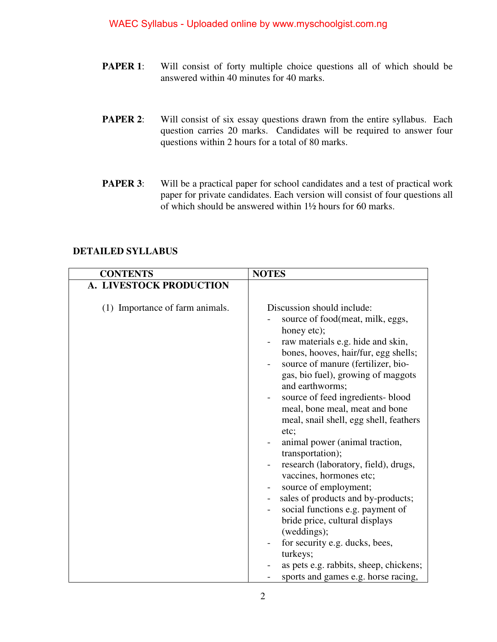- **PAPER 1:** Will consist of forty multiple choice questions all of which should be answered within 40 minutes for 40 marks.
- **PAPER 2:** Will consist of six essay questions drawn from the entire syllabus. Each question carries 20 marks. Candidates will be required to answer four questions within 2 hours for a total of 80 marks.
- **PAPER 3:** Will be a practical paper for school candidates and a test of practical work paper for private candidates. Each version will consist of four questions all of which should be answered within 1½ hours for 60 marks.

| <b>CONTENTS</b>                 | <b>NOTES</b>                                                                                                                                                                                                                                                                                                                                                                                                                                                                                                                                                                                                                                                                                                                                                                       |
|---------------------------------|------------------------------------------------------------------------------------------------------------------------------------------------------------------------------------------------------------------------------------------------------------------------------------------------------------------------------------------------------------------------------------------------------------------------------------------------------------------------------------------------------------------------------------------------------------------------------------------------------------------------------------------------------------------------------------------------------------------------------------------------------------------------------------|
| A. LIVESTOCK PRODUCTION         |                                                                                                                                                                                                                                                                                                                                                                                                                                                                                                                                                                                                                                                                                                                                                                                    |
| (1) Importance of farm animals. | Discussion should include:<br>source of food(meat, milk, eggs,<br>honey etc);<br>raw materials e.g. hide and skin,<br>bones, hooves, hair/fur, egg shells;<br>source of manure (fertilizer, bio-<br>gas, bio fuel), growing of maggots<br>and earthworms;<br>source of feed ingredients-blood<br>meal, bone meal, meat and bone<br>meal, snail shell, egg shell, feathers<br>etc;<br>animal power (animal traction,<br>transportation);<br>research (laboratory, field), drugs,<br>vaccines, hormones etc;<br>source of employment;<br>sales of products and by-products;<br>$\overline{\phantom{a}}$<br>social functions e.g. payment of<br>bride price, cultural displays<br>(weddings);<br>for security e.g. ducks, bees,<br>turkeys;<br>as pets e.g. rabbits, sheep, chickens; |
|                                 | sports and games e.g. horse racing,                                                                                                                                                                                                                                                                                                                                                                                                                                                                                                                                                                                                                                                                                                                                                |

#### **DETAILED SYLLABUS**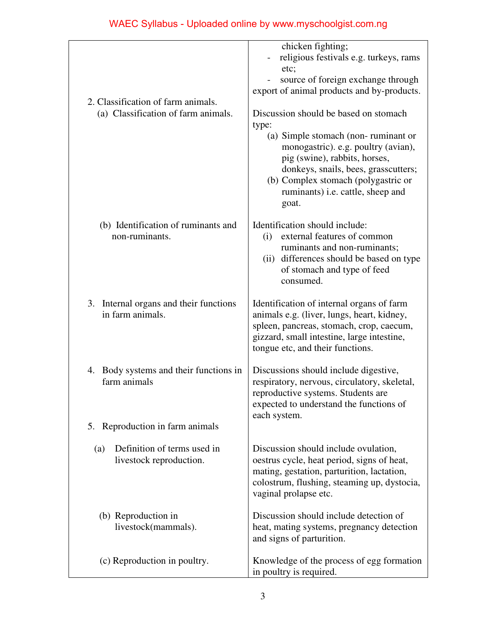| 2. Classification of farm animals.                                                        | chicken fighting;<br>religious festivals e.g. turkeys, rams<br>etc;<br>source of foreign exchange through<br>export of animal products and by-products.                                                                                      |  |  |  |
|-------------------------------------------------------------------------------------------|----------------------------------------------------------------------------------------------------------------------------------------------------------------------------------------------------------------------------------------------|--|--|--|
| (a) Classification of farm animals.                                                       | Discussion should be based on stomach<br>type:<br>(a) Simple stomach (non-ruminant or<br>monogastric). e.g. poultry (avian),<br>pig (swine), rabbits, horses,<br>donkeys, snails, bees, grasscutters;<br>(b) Complex stomach (polygastric or |  |  |  |
|                                                                                           | ruminants) i.e. cattle, sheep and<br>goat.                                                                                                                                                                                                   |  |  |  |
| (b) Identification of ruminants and<br>non-ruminants.                                     | Identification should include:<br>external features of common<br>(i)<br>ruminants and non-ruminants;<br>(ii) differences should be based on type<br>of stomach and type of feed<br>consumed.                                                 |  |  |  |
| 3. Internal organs and their functions<br>in farm animals.                                | Identification of internal organs of farm<br>animals e.g. (liver, lungs, heart, kidney,<br>spleen, pancreas, stomach, crop, caecum,<br>gizzard, small intestine, large intestine,<br>tongue etc, and their functions.                        |  |  |  |
| 4. Body systems and their functions in<br>farm animals<br>5. Reproduction in farm animals | Discussions should include digestive,<br>respiratory, nervous, circulatory, skeletal,<br>reproductive systems. Students are<br>expected to understand the functions of<br>each system.                                                       |  |  |  |
| Definition of terms used in<br>(a)<br>livestock reproduction.                             | Discussion should include ovulation,<br>oestrus cycle, heat period, signs of heat,<br>mating, gestation, parturition, lactation,<br>colostrum, flushing, steaming up, dystocia,<br>vaginal prolapse etc.                                     |  |  |  |
| (b) Reproduction in<br>livestock(mammals).                                                | Discussion should include detection of<br>heat, mating systems, pregnancy detection<br>and signs of parturition.                                                                                                                             |  |  |  |
| (c) Reproduction in poultry.                                                              | Knowledge of the process of egg formation<br>in poultry is required.                                                                                                                                                                         |  |  |  |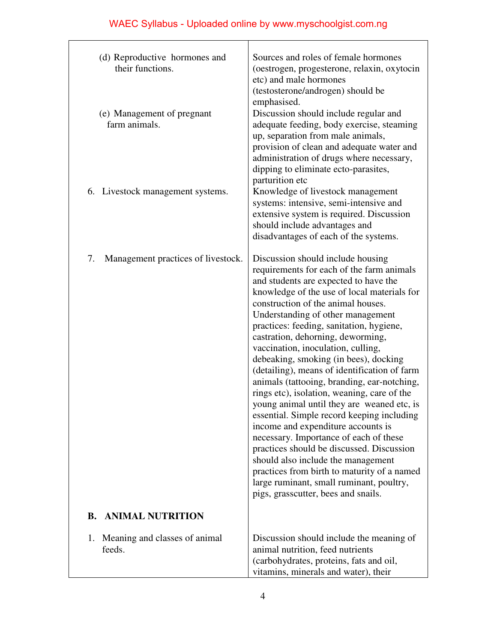| (d) Reproductive hormones and<br>their functions. | Sources and roles of female hormones<br>(oestrogen, progesterone, relaxin, oxytocin<br>etc) and male hormones<br>(testosterone/androgen) should be                                                                                                                                                                                                                                                                                                                                                                                                                                                                                                                                                                                                                                                                                                                                                                                                               |
|---------------------------------------------------|------------------------------------------------------------------------------------------------------------------------------------------------------------------------------------------------------------------------------------------------------------------------------------------------------------------------------------------------------------------------------------------------------------------------------------------------------------------------------------------------------------------------------------------------------------------------------------------------------------------------------------------------------------------------------------------------------------------------------------------------------------------------------------------------------------------------------------------------------------------------------------------------------------------------------------------------------------------|
| (e) Management of pregnant<br>farm animals.       | emphasised.<br>Discussion should include regular and<br>adequate feeding, body exercise, steaming<br>up, separation from male animals,<br>provision of clean and adequate water and<br>administration of drugs where necessary,<br>dipping to eliminate ecto-parasites,<br>parturition etc                                                                                                                                                                                                                                                                                                                                                                                                                                                                                                                                                                                                                                                                       |
| 6. Livestock management systems.                  | Knowledge of livestock management<br>systems: intensive, semi-intensive and<br>extensive system is required. Discussion<br>should include advantages and<br>disadvantages of each of the systems.                                                                                                                                                                                                                                                                                                                                                                                                                                                                                                                                                                                                                                                                                                                                                                |
| Management practices of livestock.<br>7.          | Discussion should include housing<br>requirements for each of the farm animals<br>and students are expected to have the<br>knowledge of the use of local materials for<br>construction of the animal houses.<br>Understanding of other management<br>practices: feeding, sanitation, hygiene,<br>castration, dehorning, deworming,<br>vaccination, inoculation, culling,<br>debeaking, smoking (in bees), docking<br>(detailing), means of identification of farm<br>animals (tattooing, branding, ear-notching,<br>rings etc), isolation, weaning, care of the<br>young animal until they are weaned etc, is<br>essential. Simple record keeping including<br>income and expenditure accounts is<br>necessary. Importance of each of these<br>practices should be discussed. Discussion<br>should also include the management<br>practices from birth to maturity of a named<br>large ruminant, small ruminant, poultry,<br>pigs, grasscutter, bees and snails. |
| <b>ANIMAL NUTRITION</b><br><b>B.</b>              |                                                                                                                                                                                                                                                                                                                                                                                                                                                                                                                                                                                                                                                                                                                                                                                                                                                                                                                                                                  |
| 1. Meaning and classes of animal<br>feeds.        | Discussion should include the meaning of<br>animal nutrition, feed nutrients<br>(carbohydrates, proteins, fats and oil,<br>vitamins, minerals and water), their                                                                                                                                                                                                                                                                                                                                                                                                                                                                                                                                                                                                                                                                                                                                                                                                  |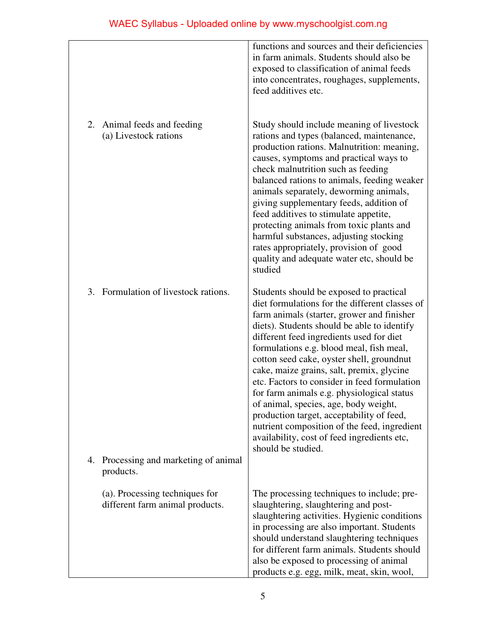|    |                                                                   | functions and sources and their deficiencies<br>in farm animals. Students should also be<br>exposed to classification of animal feeds<br>into concentrates, roughages, supplements,<br>feed additives etc.                                                                                                                                                                                                                                                                                                                                                                                                                                                                        |
|----|-------------------------------------------------------------------|-----------------------------------------------------------------------------------------------------------------------------------------------------------------------------------------------------------------------------------------------------------------------------------------------------------------------------------------------------------------------------------------------------------------------------------------------------------------------------------------------------------------------------------------------------------------------------------------------------------------------------------------------------------------------------------|
| 2. | Animal feeds and feeding<br>(a) Livestock rations                 | Study should include meaning of livestock<br>rations and types (balanced, maintenance,<br>production rations. Malnutrition: meaning,<br>causes, symptoms and practical ways to<br>check malnutrition such as feeding<br>balanced rations to animals, feeding weaker<br>animals separately, deworming animals,<br>giving supplementary feeds, addition of<br>feed additives to stimulate appetite,<br>protecting animals from toxic plants and<br>harmful substances, adjusting stocking<br>rates appropriately, provision of good<br>quality and adequate water etc, should be<br>studied                                                                                         |
| 3. | Formulation of livestock rations.                                 | Students should be exposed to practical<br>diet formulations for the different classes of<br>farm animals (starter, grower and finisher<br>diets). Students should be able to identify<br>different feed ingredients used for diet<br>formulations e.g. blood meal, fish meal,<br>cotton seed cake, oyster shell, groundnut<br>cake, maize grains, salt, premix, glycine<br>etc. Factors to consider in feed formulation<br>for farm animals e.g. physiological status<br>of animal, species, age, body weight,<br>production target, acceptability of feed,<br>nutrient composition of the feed, ingredient<br>availability, cost of feed ingredients etc,<br>should be studied. |
| 4. | Processing and marketing of animal<br>products.                   |                                                                                                                                                                                                                                                                                                                                                                                                                                                                                                                                                                                                                                                                                   |
|    | (a). Processing techniques for<br>different farm animal products. | The processing techniques to include; pre-<br>slaughtering, slaughtering and post-<br>slaughtering activities. Hygienic conditions<br>in processing are also important. Students<br>should understand slaughtering techniques<br>for different farm animals. Students should<br>also be exposed to processing of animal<br>products e.g. egg, milk, meat, skin, wool,                                                                                                                                                                                                                                                                                                             |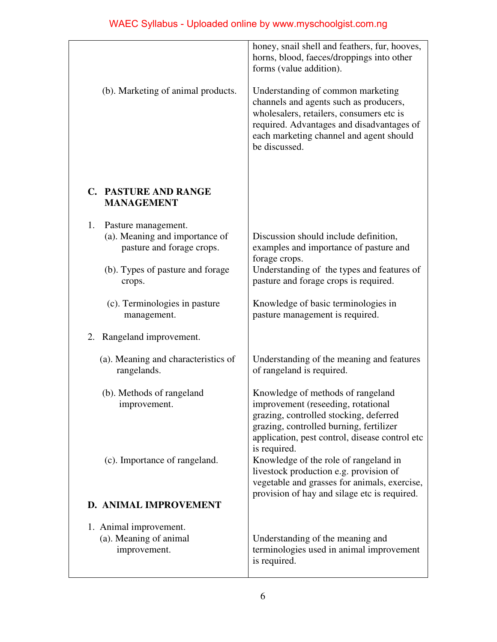|                                                                                                                                        | honey, snail shell and feathers, fur, hooves,<br>horns, blood, faeces/droppings into other<br>forms (value addition).                                                                                                                                                   |
|----------------------------------------------------------------------------------------------------------------------------------------|-------------------------------------------------------------------------------------------------------------------------------------------------------------------------------------------------------------------------------------------------------------------------|
| (b). Marketing of animal products.                                                                                                     | Understanding of common marketing<br>channels and agents such as producers,<br>wholesalers, retailers, consumers etc is<br>required. Advantages and disadvantages of<br>each marketing channel and agent should<br>be discussed.                                        |
| <b>C. PASTURE AND RANGE</b><br><b>MANAGEMENT</b>                                                                                       |                                                                                                                                                                                                                                                                         |
| 1.<br>Pasture management.<br>(a). Meaning and importance of<br>pasture and forage crops.<br>(b). Types of pasture and forage<br>crops. | Discussion should include definition,<br>examples and importance of pasture and<br>forage crops.<br>Understanding of the types and features of<br>pasture and forage crops is required.                                                                                 |
| (c). Terminologies in pasture<br>management.                                                                                           | Knowledge of basic terminologies in<br>pasture management is required.                                                                                                                                                                                                  |
| 2. Rangeland improvement.                                                                                                              |                                                                                                                                                                                                                                                                         |
| (a). Meaning and characteristics of<br>rangelands.                                                                                     | Understanding of the meaning and features<br>of rangeland is required.                                                                                                                                                                                                  |
| (b). Methods of rangeland<br>improvement.<br>(c). Importance of rangeland.                                                             | Knowledge of methods of rangeland<br>improvement (reseeding, rotational<br>grazing, controlled stocking, deferred<br>grazing, controlled burning, fertilizer<br>application, pest control, disease control etc<br>is required.<br>Knowledge of the role of rangeland in |
|                                                                                                                                        | livestock production e.g. provision of<br>vegetable and grasses for animals, exercise,<br>provision of hay and silage etc is required.                                                                                                                                  |
| D. ANIMAL IMPROVEMENT                                                                                                                  |                                                                                                                                                                                                                                                                         |
| 1. Animal improvement.<br>(a). Meaning of animal<br>improvement.                                                                       | Understanding of the meaning and<br>terminologies used in animal improvement<br>is required.                                                                                                                                                                            |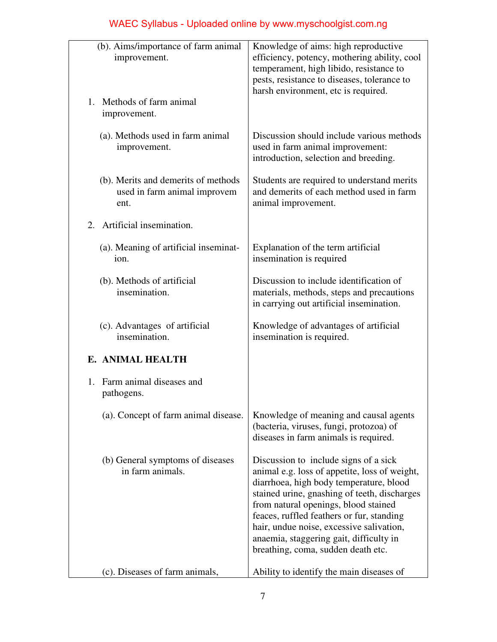| (b). Aims/importance of farm animal<br>improvement.                         | Knowledge of aims: high reproductive<br>efficiency, potency, mothering ability, cool<br>temperament, high libido, resistance to<br>pests, resistance to diseases, tolerance to<br>harsh environment, etc is required.                                                                                                                                                                               |
|-----------------------------------------------------------------------------|-----------------------------------------------------------------------------------------------------------------------------------------------------------------------------------------------------------------------------------------------------------------------------------------------------------------------------------------------------------------------------------------------------|
| 1. Methods of farm animal<br>improvement.                                   |                                                                                                                                                                                                                                                                                                                                                                                                     |
| (a). Methods used in farm animal<br>improvement.                            | Discussion should include various methods<br>used in farm animal improvement:<br>introduction, selection and breeding.                                                                                                                                                                                                                                                                              |
| (b). Merits and demerits of methods<br>used in farm animal improvem<br>ent. | Students are required to understand merits<br>and demerits of each method used in farm<br>animal improvement.                                                                                                                                                                                                                                                                                       |
| 2. Artificial insemination.                                                 |                                                                                                                                                                                                                                                                                                                                                                                                     |
| (a). Meaning of artificial inseminat-<br>ion.                               | Explanation of the term artificial<br>insemination is required                                                                                                                                                                                                                                                                                                                                      |
| (b). Methods of artificial<br>insemination.                                 | Discussion to include identification of<br>materials, methods, steps and precautions<br>in carrying out artificial insemination.                                                                                                                                                                                                                                                                    |
| (c). Advantages of artificial<br>insemination.                              | Knowledge of advantages of artificial<br>insemination is required.                                                                                                                                                                                                                                                                                                                                  |
| E. ANIMAL HEALTH                                                            |                                                                                                                                                                                                                                                                                                                                                                                                     |
| 1. Farm animal diseases and<br>pathogens.                                   |                                                                                                                                                                                                                                                                                                                                                                                                     |
| (a). Concept of farm animal disease.                                        | Knowledge of meaning and causal agents<br>(bacteria, viruses, fungi, protozoa) of<br>diseases in farm animals is required.                                                                                                                                                                                                                                                                          |
| (b) General symptoms of diseases<br>in farm animals.                        | Discussion to include signs of a sick<br>animal e.g. loss of appetite, loss of weight,<br>diarrhoea, high body temperature, blood<br>stained urine, gnashing of teeth, discharges<br>from natural openings, blood stained<br>feaces, ruffled feathers or fur, standing<br>hair, undue noise, excessive salivation,<br>anaemia, staggering gait, difficulty in<br>breathing, coma, sudden death etc. |
| (c). Diseases of farm animals,                                              | Ability to identify the main diseases of                                                                                                                                                                                                                                                                                                                                                            |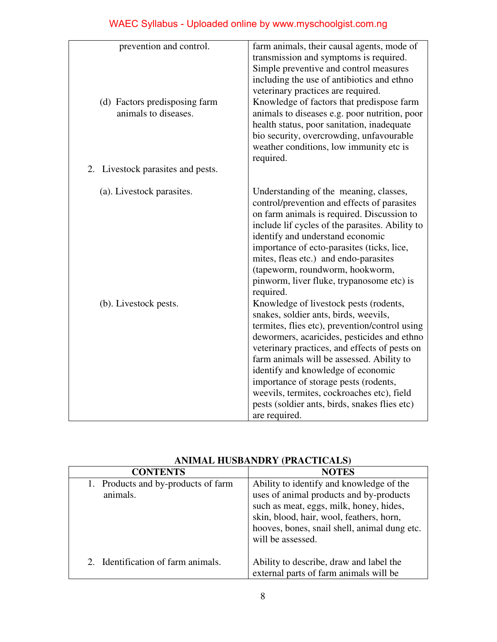| prevention and control.<br>(d) Factors predisposing farm<br>animals to diseases. | farm animals, their causal agents, mode of<br>transmission and symptoms is required.<br>Simple preventive and control measures<br>including the use of antibiotics and ethno<br>veterinary practices are required.<br>Knowledge of factors that predispose farm<br>animals to diseases e.g. poor nutrition, poor<br>health status, poor sanitation, inadequate<br>bio security, overcrowding, unfavourable<br>weather conditions, low immunity etc is<br>required.            |
|----------------------------------------------------------------------------------|-------------------------------------------------------------------------------------------------------------------------------------------------------------------------------------------------------------------------------------------------------------------------------------------------------------------------------------------------------------------------------------------------------------------------------------------------------------------------------|
| 2. Livestock parasites and pests.                                                |                                                                                                                                                                                                                                                                                                                                                                                                                                                                               |
| (a). Livestock parasites.                                                        | Understanding of the meaning, classes,<br>control/prevention and effects of parasites<br>on farm animals is required. Discussion to<br>include lif cycles of the parasites. Ability to<br>identify and understand economic<br>importance of ecto-parasites (ticks, lice,<br>mites, fleas etc.) and endo-parasites<br>(tapeworm, roundworm, hookworm,<br>pinworm, liver fluke, trypanosome etc) is<br>required.                                                                |
| (b). Livestock pests.                                                            | Knowledge of livestock pests (rodents,<br>snakes, soldier ants, birds, weevils,<br>termites, flies etc), prevention/control using<br>dewormers, acaricides, pesticides and ethno<br>veterinary practices, and effects of pests on<br>farm animals will be assessed. Ability to<br>identify and knowledge of economic<br>importance of storage pests (rodents,<br>weevils, termites, cockroaches etc), field<br>pests (soldier ants, birds, snakes flies etc)<br>are required. |

| ANIMAL HUSBANDRY (PRACTICALS) |  |  |  |  |
|-------------------------------|--|--|--|--|
|-------------------------------|--|--|--|--|

| <b>CONTENTS</b>                     | <b>NOTES</b>                                 |
|-------------------------------------|----------------------------------------------|
| 1. Products and by-products of farm | Ability to identify and knowledge of the     |
| animals.                            | uses of animal products and by-products      |
|                                     | such as meat, eggs, milk, honey, hides,      |
|                                     | skin, blood, hair, wool, feathers, horn,     |
|                                     | hooves, bones, snail shell, animal dung etc. |
|                                     | will be assessed.                            |
|                                     |                                              |
| Identification of farm animals.     | Ability to describe, draw and label the      |
|                                     | external parts of farm animals will be       |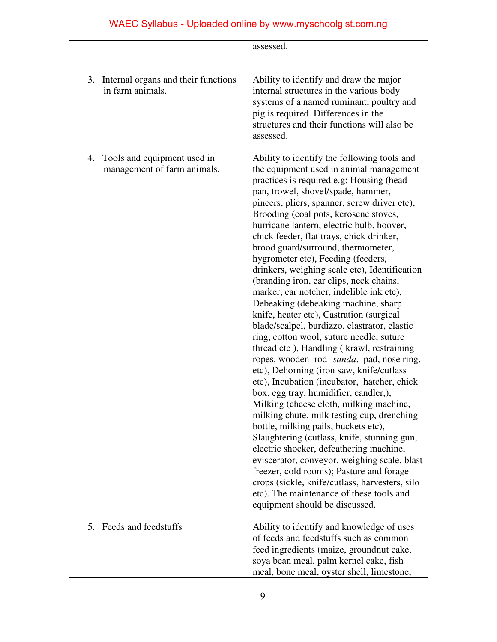|                                                                  | assessed.                                                                                                                                                                                                                                                                                                                                                                                                                                                                                                                                                                                                                                                                                                                                                                                                                                                                                                                                                                                                                                                                                                                                                                                                                                                                                                                                                                                                                                          |
|------------------------------------------------------------------|----------------------------------------------------------------------------------------------------------------------------------------------------------------------------------------------------------------------------------------------------------------------------------------------------------------------------------------------------------------------------------------------------------------------------------------------------------------------------------------------------------------------------------------------------------------------------------------------------------------------------------------------------------------------------------------------------------------------------------------------------------------------------------------------------------------------------------------------------------------------------------------------------------------------------------------------------------------------------------------------------------------------------------------------------------------------------------------------------------------------------------------------------------------------------------------------------------------------------------------------------------------------------------------------------------------------------------------------------------------------------------------------------------------------------------------------------|
|                                                                  |                                                                                                                                                                                                                                                                                                                                                                                                                                                                                                                                                                                                                                                                                                                                                                                                                                                                                                                                                                                                                                                                                                                                                                                                                                                                                                                                                                                                                                                    |
| 3. Internal organs and their functions<br>in farm animals.       | Ability to identify and draw the major<br>internal structures in the various body<br>systems of a named ruminant, poultry and<br>pig is required. Differences in the<br>structures and their functions will also be<br>assessed.                                                                                                                                                                                                                                                                                                                                                                                                                                                                                                                                                                                                                                                                                                                                                                                                                                                                                                                                                                                                                                                                                                                                                                                                                   |
| Tools and equipment used in<br>4.<br>management of farm animals. | Ability to identify the following tools and<br>the equipment used in animal management<br>practices is required e.g: Housing (head<br>pan, trowel, shovel/spade, hammer,<br>pincers, pliers, spanner, screw driver etc),<br>Brooding (coal pots, kerosene stoves,<br>hurricane lantern, electric bulb, hoover,<br>chick feeder, flat trays, chick drinker,<br>brood guard/surround, thermometer,<br>hygrometer etc), Feeding (feeders,<br>drinkers, weighing scale etc), Identification<br>(branding iron, ear clips, neck chains,<br>marker, ear notcher, indelible ink etc),<br>Debeaking (debeaking machine, sharp<br>knife, heater etc), Castration (surgical<br>blade/scalpel, burdizzo, elastrator, elastic<br>ring, cotton wool, suture needle, suture<br>thread etc), Handling (krawl, restraining<br>ropes, wooden rod- sanda, pad, nose ring,<br>etc), Dehorning (iron saw, knife/cutlass<br>etc), Incubation (incubator, hatcher, chick<br>box, egg tray, humidifier, candler,),<br>Milking (cheese cloth, milking machine,<br>milking chute, milk testing cup, drenching<br>bottle, milking pails, buckets etc),<br>Slaughtering (cutlass, knife, stunning gun,<br>electric shocker, defeathering machine,<br>eviscerator, conveyor, weighing scale, blast<br>freezer, cold rooms); Pasture and forage<br>crops (sickle, knife/cutlass, harvesters, silo<br>etc). The maintenance of these tools and<br>equipment should be discussed. |
| Feeds and feedstuffs<br>5.                                       | Ability to identify and knowledge of uses<br>of feeds and feedstuffs such as common<br>feed ingredients (maize, groundnut cake,<br>soya bean meal, palm kernel cake, fish<br>meal, bone meal, oyster shell, limestone,                                                                                                                                                                                                                                                                                                                                                                                                                                                                                                                                                                                                                                                                                                                                                                                                                                                                                                                                                                                                                                                                                                                                                                                                                             |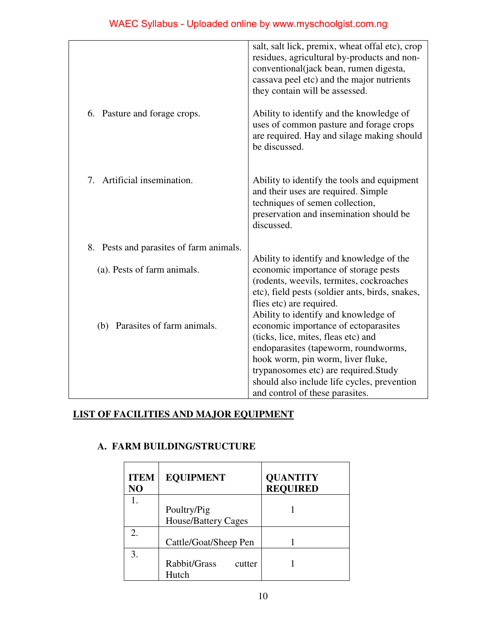| WAEC Syllabus - Uploaded online by www.myschoolgist.com.ng |  |  |  |  |  |
|------------------------------------------------------------|--|--|--|--|--|
|------------------------------------------------------------|--|--|--|--|--|

|                                         | salt, salt lick, premix, wheat offal etc), crop<br>residues, agricultural by-products and non-<br>conventional(jack bean, rumen digesta,<br>cassava peel etc) and the major nutrients<br>they contain will be assessed. |
|-----------------------------------------|-------------------------------------------------------------------------------------------------------------------------------------------------------------------------------------------------------------------------|
| 6. Pasture and forage crops.            | Ability to identify and the knowledge of<br>uses of common pasture and forage crops<br>are required. Hay and silage making should<br>be discussed.                                                                      |
| Artificial insemination.<br>$7_{\circ}$ | Ability to identify the tools and equipment<br>and their uses are required. Simple<br>techniques of semen collection,<br>preservation and insemination should be<br>discussed.                                          |
| 8. Pests and parasites of farm animals. |                                                                                                                                                                                                                         |
|                                         | Ability to identify and knowledge of the                                                                                                                                                                                |
| (a). Pests of farm animals.             | economic importance of storage pests                                                                                                                                                                                    |
|                                         | (rodents, weevils, termites, cockroaches                                                                                                                                                                                |
|                                         | etc), field pests (soldier ants, birds, snakes,<br>flies etc) are required.                                                                                                                                             |
|                                         | Ability to identify and knowledge of                                                                                                                                                                                    |
| (b) Parasites of farm animals.          | economic importance of ectoparasites                                                                                                                                                                                    |
|                                         | (ticks, lice, mites, fleas etc) and                                                                                                                                                                                     |
|                                         | endoparasites (tapeworm, roundworms,                                                                                                                                                                                    |
|                                         | hook worm, pin worm, liver fluke,                                                                                                                                                                                       |
|                                         | trypanosomes etc) are required. Study<br>should also include life cycles, prevention                                                                                                                                    |
|                                         | and control of these parasites.                                                                                                                                                                                         |

## **LIST OF FACILITIES AND MAJOR EQUIPMENT**

### **A. FARM BUILDING/STRUCTURE**

| <b>ITEM</b><br>NO | <b>EQUIPMENT</b>           | <b>QUANTITY</b><br><b>REQUIRED</b> |
|-------------------|----------------------------|------------------------------------|
|                   |                            |                                    |
|                   | Poultry/Pig                |                                    |
|                   | <b>House/Battery Cages</b> |                                    |
| 2.                |                            |                                    |
|                   | Cattle/Goat/Sheep Pen      |                                    |
| 3.                |                            |                                    |
|                   | Rabbit/Grass<br>cutter     |                                    |
|                   | Hutch                      |                                    |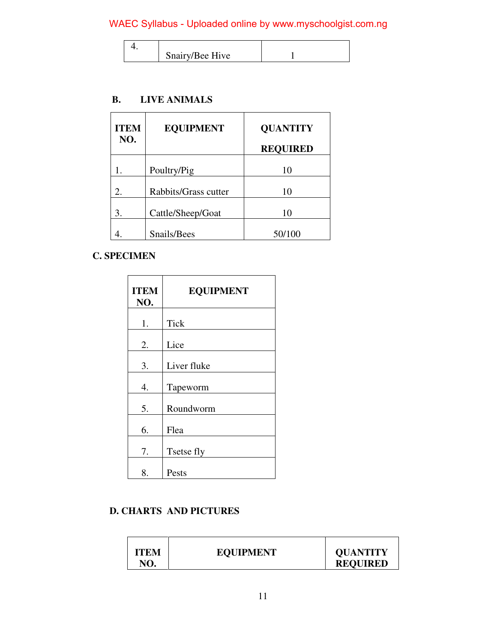|  | Snairy/Bee Hive |  |
|--|-----------------|--|

#### **B. LIVE ANIMALS**

| <b>ITEM</b><br>NO. | <b>EQUIPMENT</b>     | <b>QUANTITY</b><br><b>REQUIRED</b> |
|--------------------|----------------------|------------------------------------|
|                    | Poultry/Pig          | 10                                 |
|                    |                      |                                    |
| 2.                 | Rabbits/Grass cutter | 10                                 |
| 3.                 | Cattle/Sheep/Goat    | 10                                 |
|                    | Snails/Bees          | 50/100                             |

### **C. SPECIMEN**

| <b>ITEM</b><br>NO. | <b>EQUIPMENT</b> |
|--------------------|------------------|
| 1.                 | <b>Tick</b>      |
| 2.                 | Lice             |
| 3.                 | Liver fluke      |
| 4.                 | Tapeworm         |
| 5.                 | Roundworm        |
| 6.                 | Flea             |
| 7.                 | Tsetse fly       |
| 8.                 | Pests            |

### **D. CHARTS AND PICTURES**

| <b>ITEM</b><br><b>EQUIPMENT</b><br>NO. | <b>QUANTITY</b><br><b>REQUIRED</b> |
|----------------------------------------|------------------------------------|
|----------------------------------------|------------------------------------|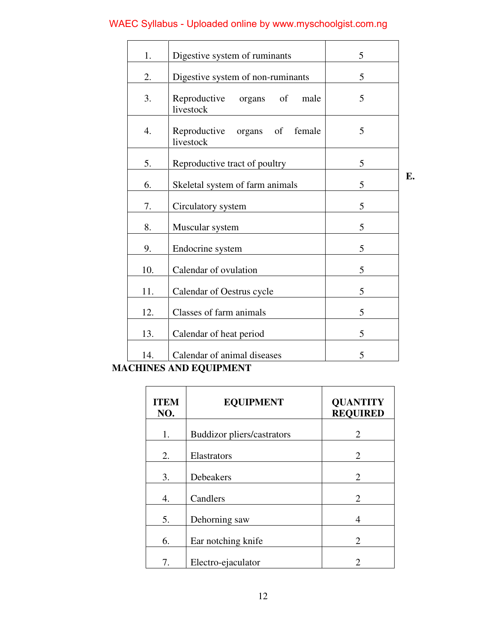| 1.               | Digestive system of ruminants                     | 5 |    |
|------------------|---------------------------------------------------|---|----|
| 2.               | Digestive system of non-ruminants                 | 5 |    |
| 3.               | Reproductive<br>of<br>male<br>organs<br>livestock | 5 |    |
| $\overline{4}$ . | Reproductive<br>organs of<br>female<br>livestock  | 5 |    |
| 5.               | Reproductive tract of poultry                     | 5 |    |
| 6.               | Skeletal system of farm animals                   | 5 | E. |
| 7.               | Circulatory system                                | 5 |    |
| 8.               | Muscular system                                   | 5 |    |
| 9.               | Endocrine system                                  | 5 |    |
| 10.              | Calendar of ovulation                             | 5 |    |
| 11.              | Calendar of Oestrus cycle                         | 5 |    |
| 12.              | Classes of farm animals                           | 5 |    |
| 13.              | Calendar of heat period                           | 5 |    |
| 14.              | Calendar of animal diseases                       | 5 |    |

## **MACHINES AND EQUIPMENT**

| <b>ITEM</b><br>NO. | <b>EQUIPMENT</b>                  | <b>QUANTITY</b><br><b>REQUIRED</b> |
|--------------------|-----------------------------------|------------------------------------|
| 1.                 | <b>Buddizor pliers/castrators</b> | 2                                  |
| 2.                 | Elastrators                       | $\overline{2}$                     |
| 3.                 | Debeakers                         | 2                                  |
| $\overline{4}$ .   | Candlers                          | $\overline{2}$                     |
| 5.                 | Dehorning saw                     | 4                                  |
| 6.                 | Ear notching knife                | $\mathfrak{D}$                     |
| 7.                 | Electro-ejaculator                | 2                                  |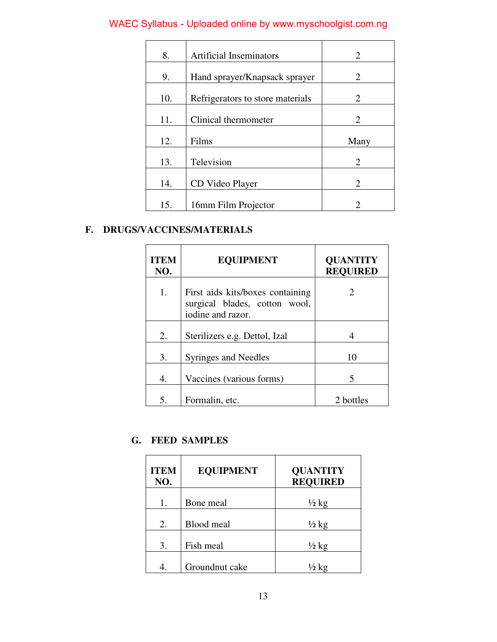| 8.  | <b>Artificial Inseminators</b>   | 2                           |
|-----|----------------------------------|-----------------------------|
| 9.  | Hand sprayer/Knapsack sprayer    | 2                           |
| 10. | Refrigerators to store materials | 2                           |
| 11. | Clinical thermometer             | $\mathcal{D}_{\mathcal{L}}$ |
| 12. | Films                            | Many                        |
| 13. | Television                       | 2                           |
| 14. | CD Video Player                  | $\mathcal{D}_{\cdot}$       |
| 15. | 16mm Film Projector              | $\mathcal{D}_{\mathcal{A}}$ |

## **F. DRUGS/VACCINES/MATERIALS**

| <b>ITEM</b><br>NO. | <b>EQUIPMENT</b>                                                                       | <b>QUANTITY</b><br><b>REQUIRED</b> |
|--------------------|----------------------------------------------------------------------------------------|------------------------------------|
| 1.                 | First aids kits/boxes containing<br>surgical blades, cotton wool,<br>iodine and razor. | 2                                  |
| 2.                 | Sterilizers e.g. Dettol, Izal                                                          |                                    |
| 3.                 | Syringes and Needles                                                                   | 10                                 |
| 4.                 | Vaccines (various forms)                                                               | 5                                  |
| 5.                 | Formalin, etc.                                                                         | 2 bottles                          |

### **G. FEED SAMPLES**

| <b>EQUIPMENT</b> | <b>QUANTITY</b><br><b>REQUIRED</b>               |
|------------------|--------------------------------------------------|
| Bone meal        | $\frac{1}{2}$ kg                                 |
|                  | $\frac{1}{2}$ kg                                 |
|                  | $\frac{1}{2}$ kg                                 |
|                  | ½ kg                                             |
|                  | <b>Blood</b> meal<br>Fish meal<br>Groundnut cake |